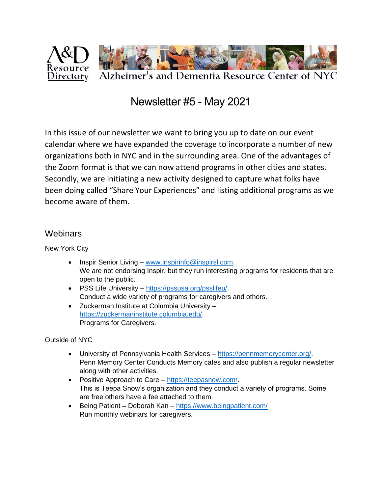

## Newsletter #5 - May 2021

In this issue of our newsletter we want to bring you up to date on our event calendar where we have expanded the coverage to incorporate a number of new organizations both in NYC and in the surrounding area. One of the advantages of the Zoom format is that we can now attend programs in other cities and states. Secondly, we are initiating a new activity designed to capture what folks have been doing called "Share Your Experiences" and listing additional programs as we become aware of them.

#### **Webinars**

New York City

- Inspir Senior Living [www.inspirinfo@inspirsl.com.](http://www.inspirinfo@inspirsl.com) We are not endorsing Inspir, but they run interesting programs for residents that are open to the public.
- PSS Life University [https://pssusa.org/psslifeu/.](https://pssusa.org/psslifeu/) Conduct a wide variety of programs for caregivers and others.
- Zuckerman Institute at Columbia University [https://zuckermaninstitute.columbia.edu/.](https://zuckermaninstitute.columbia.edu/) Programs for Caregivers.

Outside of NYC

- University of Pennsylvania Health Services [https://pennmemorycenter.org/.](https://pennmemorycenter.org/) Penn Memory Center Conducts Memory cafes and also publish a regular newsletter along with other activities.
- Positive Approach to Care [https://teepasnow.com/.](https://teepasnow.com/) This is Teepa Snow's organization and they conduct a variety of programs. Some are free others have a fee attached to them.
- Being Patient **–** Deborah Kan <https://www.beingpatient.com/> Run monthly webinars for caregivers.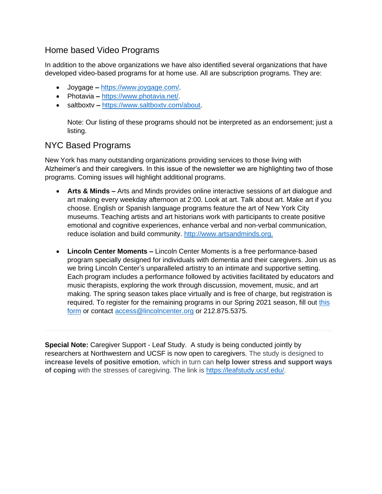#### Home based Video Programs

In addition to the above organizations we have also identified several organizations that have developed video-based programs for at home use. All are subscription programs. They are:

- Joygage **–** [https://www.joygage.com/.](https://www.joygage.com/)
- Photavia **–** [https://www.photavia.net/.](https://www.photavia.net/)
- saltboxtv **–** [https://www.saltboxtv.com/about.](https://www.saltboxtv.com/about)

Note: Our listing of these programs should not be interpreted as an endorsement; just a listing.

### NYC Based Programs

New York has many outstanding organizations providing services to those living with Alzheimer's and their caregivers. In this issue of the newsletter we are highlighting two of those programs. Coming issues will highlight additional programs.

- **Arts & Minds –** Arts and Minds provides online interactive sessions of art dialogue and art making every weekday afternoon at 2:00. Look at art. Talk about art. Make art if you choose. English or Spanish language programs feature the art of New York City museums. Teaching artists and art historians work with participants to create positive emotional and cognitive experiences, enhance verbal and non-verbal communication, reduce isolation and build community. [http://www.artsandminds.org.](http://www.artsandminds.org/)
- **Lincoln Center Moments –** Lincoln Center Moments is a free performance-based program specially designed for individuals with dementia and their caregivers. Join us as we bring Lincoln Center's unparalleled artistry to an intimate and supportive setting. Each program includes a performance followed by activities facilitated by educators and music therapists, exploring the work through discussion, movement, music, and art making. The spring season takes place virtually and is free of charge, but registration is required. To register for the remaining programs in our Spring 2021 season, fill out this [form](mailto:this%20form) or contact [access@lincolncenter.org](mailto:access@lincolncenter.org) or 212.875.5375.

**Special Note:** Caregiver Support - Leaf Study. A study is being conducted jointly by researchers at Northwestern and UCSF is now open to caregivers. The study is designed to **increase levels of positive emotion**, which in turn can **help lower stress and support ways of coping** with the stresses of caregiving. The link is [https://leafstudy.ucsf.edu/.](https://leafstudy.ucsf.edu/)